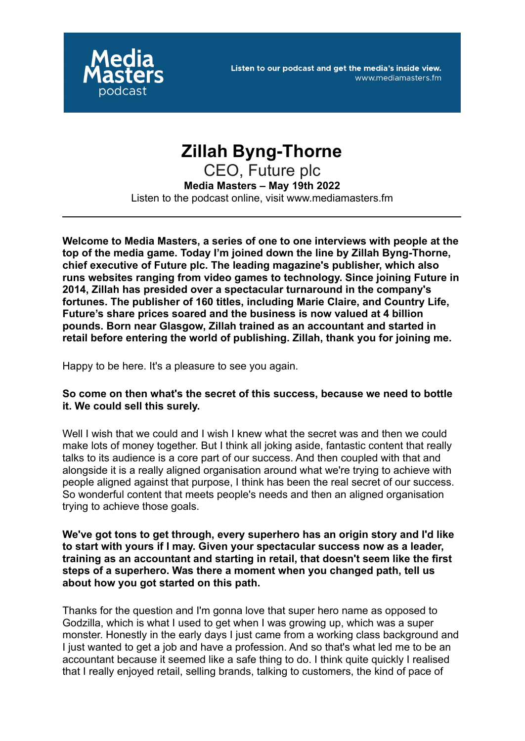

# **Zillah Byng-Thorne**

CEO, Future plc **Media Masters – May 19th 2022** Listen to the podcast online, visit www.mediamasters.fm

**Welcome to Media Masters, a series of one to one interviews with people at the top of the media game. Today I'm joined down the line by Zillah Byng-Thorne, chief executive of Future plc. The leading magazine's publisher, which also runs websites ranging from video games to technology. Since joining Future in 2014, Zillah has presided over a spectacular turnaround in the company's fortunes. The publisher of 160 titles, including Marie Claire, and Country Life, Future's share prices soared and the business is now valued at 4 billion pounds. Born near Glasgow, Zillah trained as an accountant and started in retail before entering the world of publishing. Zillah, thank you for joining me.**

Happy to be here. It's a pleasure to see you again.

## **So come on then what's the secret of this success, because we need to bottle it. We could sell this surely.**

Well I wish that we could and I wish I knew what the secret was and then we could make lots of money together. But I think all joking aside, fantastic content that really talks to its audience is a core part of our success. And then coupled with that and alongside it is a really aligned organisation around what we're trying to achieve with people aligned against that purpose, I think has been the real secret of our success. So wonderful content that meets people's needs and then an aligned organisation trying to achieve those goals.

**We've got tons to get through, every superhero has an origin story and I'd like to start with yours if I may. Given your spectacular success now as a leader, training as an accountant and starting in retail, that doesn't seem like the first steps of a superhero. Was there a moment when you changed path, tell us about how you got started on this path.**

Thanks for the question and I'm gonna love that super hero name as opposed to Godzilla, which is what I used to get when I was growing up, which was a super monster. Honestly in the early days I just came from a working class background and I just wanted to get a job and have a profession. And so that's what led me to be an accountant because it seemed like a safe thing to do. I think quite quickly I realised that I really enjoyed retail, selling brands, talking to customers, the kind of pace of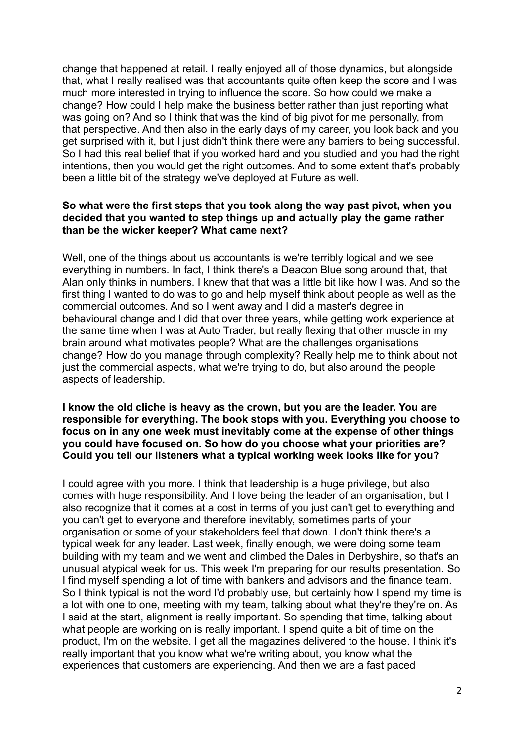change that happened at retail. I really enjoyed all of those dynamics, but alongside that, what I really realised was that accountants quite often keep the score and I was much more interested in trying to influence the score. So how could we make a change? How could I help make the business better rather than just reporting what was going on? And so I think that was the kind of big pivot for me personally, from that perspective. And then also in the early days of my career, you look back and you get surprised with it, but I just didn't think there were any barriers to being successful. So I had this real belief that if you worked hard and you studied and you had the right intentions, then you would get the right outcomes. And to some extent that's probably been a little bit of the strategy we've deployed at Future as well.

## **So what were the first steps that you took along the way past pivot, when you decided that you wanted to step things up and actually play the game rather than be the wicker keeper? What came next?**

Well, one of the things about us accountants is we're terribly logical and we see everything in numbers. In fact, I think there's a Deacon Blue song around that, that Alan only thinks in numbers. I knew that that was a little bit like how I was. And so the first thing I wanted to do was to go and help myself think about people as well as the commercial outcomes. And so I went away and I did a master's degree in behavioural change and I did that over three years, while getting work experience at the same time when I was at Auto Trader, but really flexing that other muscle in my brain around what motivates people? What are the challenges organisations change? How do you manage through complexity? Really help me to think about not just the commercial aspects, what we're trying to do, but also around the people aspects of leadership.

## **I know the old cliche is heavy as the crown, but you are the leader. You are responsible for everything. The book stops with you. Everything you choose to focus on in any one week must inevitably come at the expense of other things you could have focused on. So how do you choose what your priorities are? Could you tell our listeners what a typical working week looks like for you?**

I could agree with you more. I think that leadership is a huge privilege, but also comes with huge responsibility. And I love being the leader of an organisation, but I also recognize that it comes at a cost in terms of you just can't get to everything and you can't get to everyone and therefore inevitably, sometimes parts of your organisation or some of your stakeholders feel that down. I don't think there's a typical week for any leader. Last week, finally enough, we were doing some team building with my team and we went and climbed the Dales in Derbyshire, so that's an unusual atypical week for us. This week I'm preparing for our results presentation. So I find myself spending a lot of time with bankers and advisors and the finance team. So I think typical is not the word I'd probably use, but certainly how I spend my time is a lot with one to one, meeting with my team, talking about what they're they're on. As I said at the start, alignment is really important. So spending that time, talking about what people are working on is really important. I spend quite a bit of time on the product, I'm on the website. I get all the magazines delivered to the house. I think it's really important that you know what we're writing about, you know what the experiences that customers are experiencing. And then we are a fast paced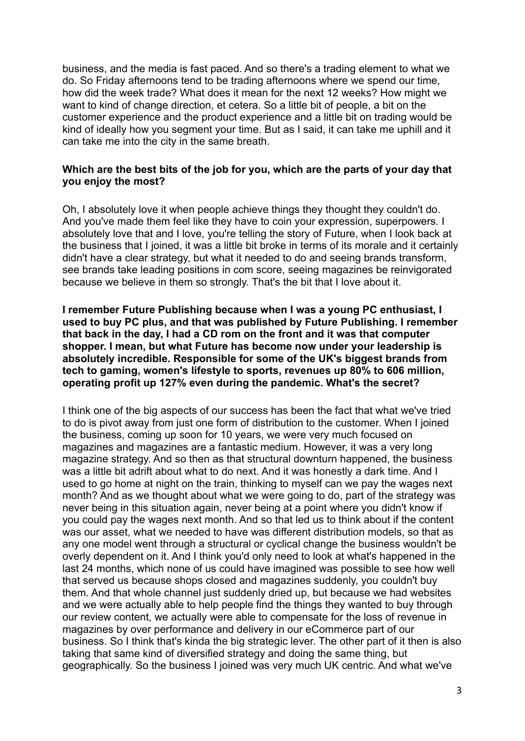business, and the media is fast paced. And so there's a trading element to what we do. So Friday afternoons tend to be trading afternoons where we spend our time, how did the week trade? What does it mean for the next 12 weeks? How might we want to kind of change direction, et cetera. So a little bit of people, a bit on the customer experience and the product experience and a little bit on trading would be kind of ideally how you segment your time. But as I said, it can take me uphill and it can take me into the city in the same breath.

## **Which are the best bits of the job for you, which are the parts of your day that you enjoy the most?**

Oh, I absolutely love it when people achieve things they thought they couldn't do. And you've made them feel like they have to coin your expression, superpowers. I absolutely love that and I love, you're telling the story of Future, when I look back at the business that I joined, it was a little bit broke in terms of its morale and it certainly didn't have a clear strategy, but what it needed to do and seeing brands transform, see brands take leading positions in com score, seeing magazines be reinvigorated because we believe in them so strongly. That's the bit that I love about it.

**I remember Future Publishing because when I was a young PC enthusiast, I used to buy PC plus, and that was published by Future Publishing. I remember that back in the day, I had a CD rom on the front and it was that computer shopper. I mean, but what Future has become now under your leadership is absolutely incredible. Responsible for some of the UK's biggest brands from tech to gaming, women's lifestyle to sports, revenues up 80% to 606 million, operating profit up 127% even during the pandemic. What's the secret?**

I think one of the big aspects of our success has been the fact that what we've tried to do is pivot away from just one form of distribution to the customer. When I joined the business, coming up soon for 10 years, we were very much focused on magazines and magazines are a fantastic medium. However, it was a very long magazine strategy. And so then as that structural downturn happened, the business was a little bit adrift about what to do next. And it was honestly a dark time. And I used to go home at night on the train, thinking to myself can we pay the wages next month? And as we thought about what we were going to do, part of the strategy was never being in this situation again, never being at a point where you didn't know if you could pay the wages next month. And so that led us to think about if the content was our asset, what we needed to have was different distribution models, so that as any one model went through a structural or cyclical change the business wouldn't be overly dependent on it. And I think you'd only need to look at what's happened in the last 24 months, which none of us could have imagined was possible to see how well that served us because shops closed and magazines suddenly, you couldn't buy them. And that whole channel just suddenly dried up, but because we had websites and we were actually able to help people find the things they wanted to buy through our review content, we actually were able to compensate for the loss of revenue in magazines by over performance and delivery in our eCommerce part of our business. So I think that's kinda the big strategic lever. The other part of it then is also taking that same kind of diversified strategy and doing the same thing, but geographically. So the business I joined was very much UK centric. And what we've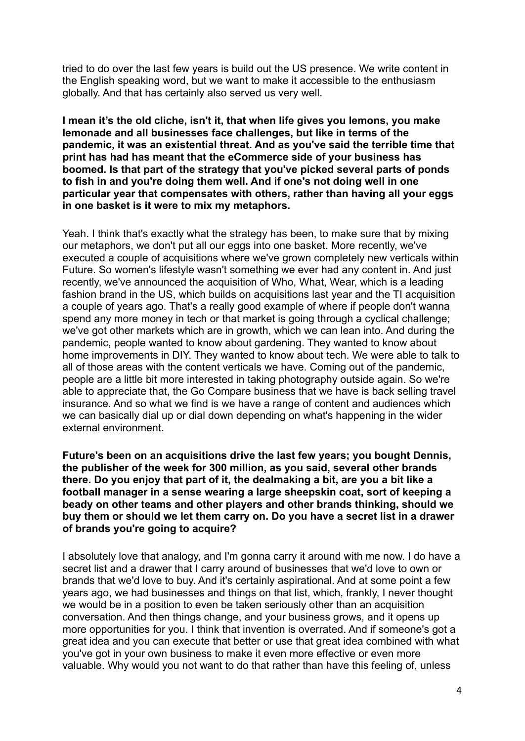tried to do over the last few years is build out the US presence. We write content in the English speaking word, but we want to make it accessible to the enthusiasm globally. And that has certainly also served us very well.

**I mean it's the old cliche, isn't it, that when life gives you lemons, you make lemonade and all businesses face challenges, but like in terms of the pandemic, it was an existential threat. And as you've said the terrible time that print has had has meant that the eCommerce side of your business has boomed. Is that part of the strategy that you've picked several parts of ponds to fish in and you're doing them well. And if one's not doing well in one particular year that compensates with others, rather than having all your eggs in one basket is it were to mix my metaphors.**

Yeah. I think that's exactly what the strategy has been, to make sure that by mixing our metaphors, we don't put all our eggs into one basket. More recently, we've executed a couple of acquisitions where we've grown completely new verticals within Future. So women's lifestyle wasn't something we ever had any content in. And just recently, we've announced the acquisition of Who, What, Wear, which is a leading fashion brand in the US, which builds on acquisitions last year and the TI acquisition a couple of years ago. That's a really good example of where if people don't wanna spend any more money in tech or that market is going through a cyclical challenge; we've got other markets which are in growth, which we can lean into. And during the pandemic, people wanted to know about gardening. They wanted to know about home improvements in DIY. They wanted to know about tech. We were able to talk to all of those areas with the content verticals we have. Coming out of the pandemic, people are a little bit more interested in taking photography outside again. So we're able to appreciate that, the Go Compare business that we have is back selling travel insurance. And so what we find is we have a range of content and audiences which we can basically dial up or dial down depending on what's happening in the wider external environment.

**Future's been on an acquisitions drive the last few years; you bought Dennis, the publisher of the week for 300 million, as you said, several other brands there. Do you enjoy that part of it, the dealmaking a bit, are you a bit like a football manager in a sense wearing a large sheepskin coat, sort of keeping a beady on other teams and other players and other brands thinking, should we buy them or should we let them carry on. Do you have a secret list in a drawer of brands you're going to acquire?**

I absolutely love that analogy, and I'm gonna carry it around with me now. I do have a secret list and a drawer that I carry around of businesses that we'd love to own or brands that we'd love to buy. And it's certainly aspirational. And at some point a few years ago, we had businesses and things on that list, which, frankly, I never thought we would be in a position to even be taken seriously other than an acquisition conversation. And then things change, and your business grows, and it opens up more opportunities for you. I think that invention is overrated. And if someone's got a great idea and you can execute that better or use that great idea combined with what you've got in your own business to make it even more effective or even more valuable. Why would you not want to do that rather than have this feeling of, unless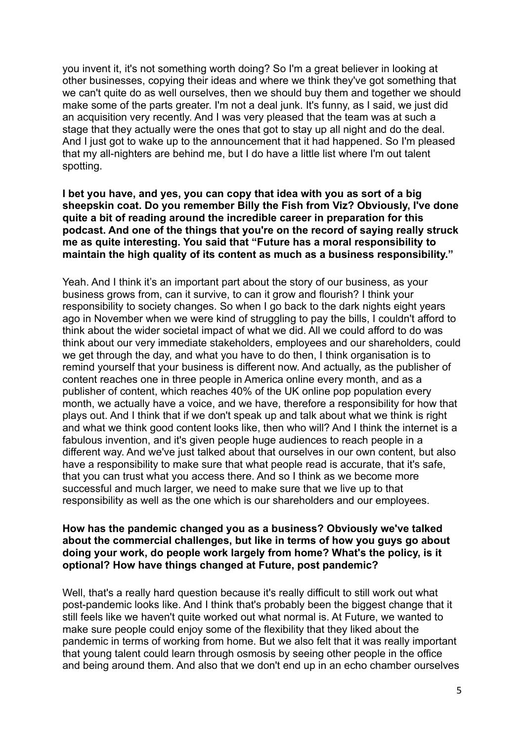you invent it, it's not something worth doing? So I'm a great believer in looking at other businesses, copying their ideas and where we think they've got something that we can't quite do as well ourselves, then we should buy them and together we should make some of the parts greater. I'm not a deal junk. It's funny, as I said, we just did an acquisition very recently. And I was very pleased that the team was at such a stage that they actually were the ones that got to stay up all night and do the deal. And I just got to wake up to the announcement that it had happened. So I'm pleased that my all-nighters are behind me, but I do have a little list where I'm out talent spotting.

**I bet you have, and yes, you can copy that idea with you as sort of a big sheepskin coat. Do you remember Billy the Fish from Viz? Obviously, I've done quite a bit of reading around the incredible career in preparation for this podcast. And one of the things that you're on the record of saying really struck me as quite interesting. You said that "Future has a moral responsibility to maintain the high quality of its content as much as a business responsibility."**

Yeah. And I think it's an important part about the story of our business, as your business grows from, can it survive, to can it grow and flourish? I think your responsibility to society changes. So when I go back to the dark nights eight years ago in November when we were kind of struggling to pay the bills, I couldn't afford to think about the wider societal impact of what we did. All we could afford to do was think about our very immediate stakeholders, employees and our shareholders, could we get through the day, and what you have to do then, I think organisation is to remind yourself that your business is different now. And actually, as the publisher of content reaches one in three people in America online every month, and as a publisher of content, which reaches 40% of the UK online pop population every month, we actually have a voice, and we have, therefore a responsibility for how that plays out. And I think that if we don't speak up and talk about what we think is right and what we think good content looks like, then who will? And I think the internet is a fabulous invention, and it's given people huge audiences to reach people in a different way. And we've just talked about that ourselves in our own content, but also have a responsibility to make sure that what people read is accurate, that it's safe, that you can trust what you access there. And so I think as we become more successful and much larger, we need to make sure that we live up to that responsibility as well as the one which is our shareholders and our employees.

#### **How has the pandemic changed you as a business? Obviously we've talked about the commercial challenges, but like in terms of how you guys go about doing your work, do people work largely from home? What's the policy, is it optional? How have things changed at Future, post pandemic?**

Well, that's a really hard question because it's really difficult to still work out what post-pandemic looks like. And I think that's probably been the biggest change that it still feels like we haven't quite worked out what normal is. At Future, we wanted to make sure people could enjoy some of the flexibility that they liked about the pandemic in terms of working from home. But we also felt that it was really important that young talent could learn through osmosis by seeing other people in the office and being around them. And also that we don't end up in an echo chamber ourselves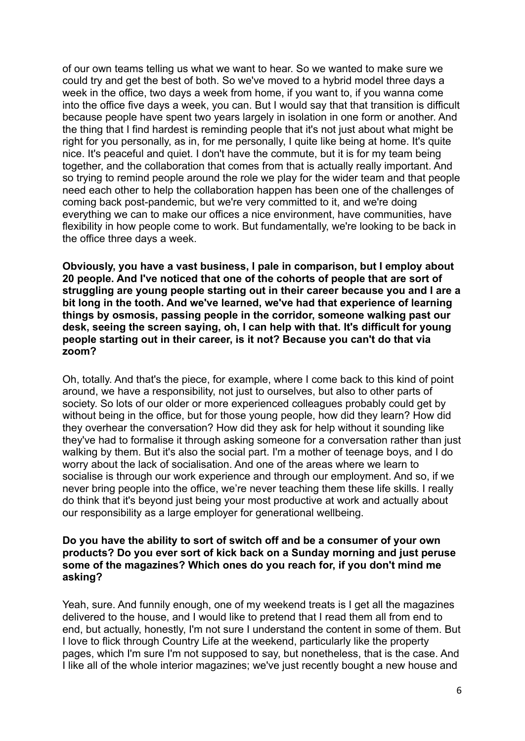of our own teams telling us what we want to hear. So we wanted to make sure we could try and get the best of both. So we've moved to a hybrid model three days a week in the office, two days a week from home, if you want to, if you wanna come into the office five days a week, you can. But I would say that that transition is difficult because people have spent two years largely in isolation in one form or another. And the thing that I find hardest is reminding people that it's not just about what might be right for you personally, as in, for me personally, I quite like being at home. It's quite nice. It's peaceful and quiet. I don't have the commute, but it is for my team being together, and the collaboration that comes from that is actually really important. And so trying to remind people around the role we play for the wider team and that people need each other to help the collaboration happen has been one of the challenges of coming back post-pandemic, but we're very committed to it, and we're doing everything we can to make our offices a nice environment, have communities, have flexibility in how people come to work. But fundamentally, we're looking to be back in the office three days a week.

**Obviously, you have a vast business, I pale in comparison, but I employ about 20 people. And I've noticed that one of the cohorts of people that are sort of struggling are young people starting out in their career because you and I are a bit long in the tooth. And we've learned, we've had that experience of learning things by osmosis, passing people in the corridor, someone walking past our desk, seeing the screen saying, oh, I can help with that. It's difficult for young people starting out in their career, is it not? Because you can't do that via zoom?**

Oh, totally. And that's the piece, for example, where I come back to this kind of point around, we have a responsibility, not just to ourselves, but also to other parts of society. So lots of our older or more experienced colleagues probably could get by without being in the office, but for those young people, how did they learn? How did they overhear the conversation? How did they ask for help without it sounding like they've had to formalise it through asking someone for a conversation rather than just walking by them. But it's also the social part. I'm a mother of teenage boys, and I do worry about the lack of socialisation. And one of the areas where we learn to socialise is through our work experience and through our employment. And so, if we never bring people into the office, we're never teaching them these life skills. I really do think that it's beyond just being your most productive at work and actually about our responsibility as a large employer for generational wellbeing.

## **Do you have the ability to sort of switch off and be a consumer of your own products? Do you ever sort of kick back on a Sunday morning and just peruse some of the magazines? Which ones do you reach for, if you don't mind me asking?**

Yeah, sure. And funnily enough, one of my weekend treats is I get all the magazines delivered to the house, and I would like to pretend that I read them all from end to end, but actually, honestly, I'm not sure I understand the content in some of them. But I love to flick through Country Life at the weekend, particularly like the property pages, which I'm sure I'm not supposed to say, but nonetheless, that is the case. And I like all of the whole interior magazines; we've just recently bought a new house and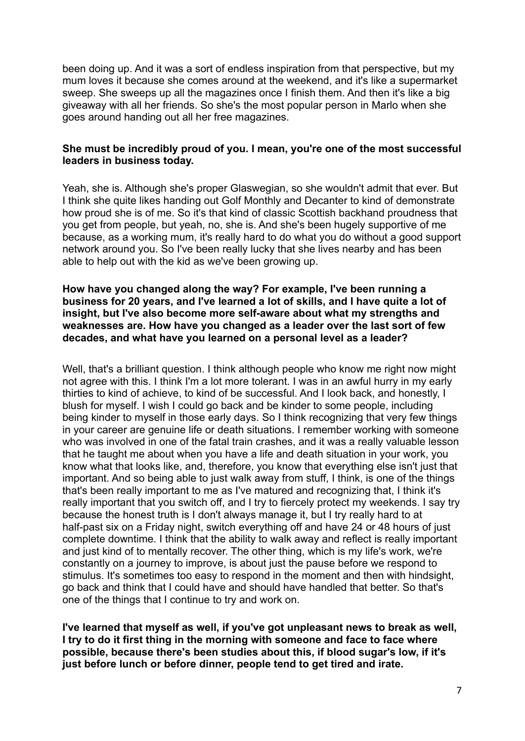been doing up. And it was a sort of endless inspiration from that perspective, but my mum loves it because she comes around at the weekend, and it's like a supermarket sweep. She sweeps up all the magazines once I finish them. And then it's like a big giveaway with all her friends. So she's the most popular person in Marlo when she goes around handing out all her free magazines.

## **She must be incredibly proud of you. I mean, you're one of the most successful leaders in business today.**

Yeah, she is. Although she's proper Glaswegian, so she wouldn't admit that ever. But I think she quite likes handing out Golf Monthly and Decanter to kind of demonstrate how proud she is of me. So it's that kind of classic Scottish backhand proudness that you get from people, but yeah, no, she is. And she's been hugely supportive of me because, as a working mum, it's really hard to do what you do without a good support network around you. So I've been really lucky that she lives nearby and has been able to help out with the kid as we've been growing up.

## **How have you changed along the way? For example, I've been running a business for 20 years, and I've learned a lot of skills, and I have quite a lot of insight, but I've also become more self-aware about what my strengths and weaknesses are. How have you changed as a leader over the last sort of few decades, and what have you learned on a personal level as a leader?**

Well, that's a brilliant question. I think although people who know me right now might not agree with this. I think I'm a lot more tolerant. I was in an awful hurry in my early thirties to kind of achieve, to kind of be successful. And I look back, and honestly, I blush for myself. I wish I could go back and be kinder to some people, including being kinder to myself in those early days. So I think recognizing that very few things in your career are genuine life or death situations. I remember working with someone who was involved in one of the fatal train crashes, and it was a really valuable lesson that he taught me about when you have a life and death situation in your work, you know what that looks like, and, therefore, you know that everything else isn't just that important. And so being able to just walk away from stuff, I think, is one of the things that's been really important to me as I've matured and recognizing that, I think it's really important that you switch off, and I try to fiercely protect my weekends. I say try because the honest truth is I don't always manage it, but I try really hard to at half-past six on a Friday night, switch everything off and have 24 or 48 hours of just complete downtime. I think that the ability to walk away and reflect is really important and just kind of to mentally recover. The other thing, which is my life's work, we're constantly on a journey to improve, is about just the pause before we respond to stimulus. It's sometimes too easy to respond in the moment and then with hindsight, go back and think that I could have and should have handled that better. So that's one of the things that I continue to try and work on.

**I've learned that myself as well, if you've got unpleasant news to break as well, I try to do it first thing in the morning with someone and face to face where possible, because there's been studies about this, if blood sugar's low, if it's just before lunch or before dinner, people tend to get tired and irate.**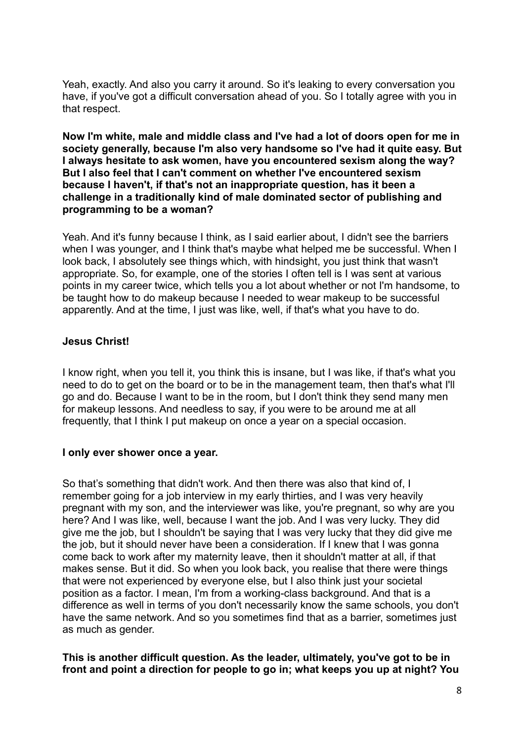Yeah, exactly. And also you carry it around. So it's leaking to every conversation you have, if you've got a difficult conversation ahead of you. So I totally agree with you in that respect.

**Now I'm white, male and middle class and I've had a lot of doors open for me in society generally, because I'm also very handsome so I've had it quite easy. But I always hesitate to ask women, have you encountered sexism along the way? But I also feel that I can't comment on whether I've encountered sexism because I haven't, if that's not an inappropriate question, has it been a challenge in a traditionally kind of male dominated sector of publishing and programming to be a woman?**

Yeah. And it's funny because I think, as I said earlier about, I didn't see the barriers when I was younger, and I think that's maybe what helped me be successful. When I look back, I absolutely see things which, with hindsight, you just think that wasn't appropriate. So, for example, one of the stories I often tell is I was sent at various points in my career twice, which tells you a lot about whether or not I'm handsome, to be taught how to do makeup because I needed to wear makeup to be successful apparently. And at the time, I just was like, well, if that's what you have to do.

## **Jesus Christ!**

I know right, when you tell it, you think this is insane, but I was like, if that's what you need to do to get on the board or to be in the management team, then that's what I'll go and do. Because I want to be in the room, but I don't think they send many men for makeup lessons. And needless to say, if you were to be around me at all frequently, that I think I put makeup on once a year on a special occasion.

## **I only ever shower once a year.**

So that's something that didn't work. And then there was also that kind of, I remember going for a job interview in my early thirties, and I was very heavily pregnant with my son, and the interviewer was like, you're pregnant, so why are you here? And I was like, well, because I want the job. And I was very lucky. They did give me the job, but I shouldn't be saying that I was very lucky that they did give me the job, but it should never have been a consideration. If I knew that I was gonna come back to work after my maternity leave, then it shouldn't matter at all, if that makes sense. But it did. So when you look back, you realise that there were things that were not experienced by everyone else, but I also think just your societal position as a factor. I mean, I'm from a working-class background. And that is a difference as well in terms of you don't necessarily know the same schools, you don't have the same network. And so you sometimes find that as a barrier, sometimes just as much as gender.

**This is another difficult question. As the leader, ultimately, you've got to be in front and point a direction for people to go in; what keeps you up at night? You**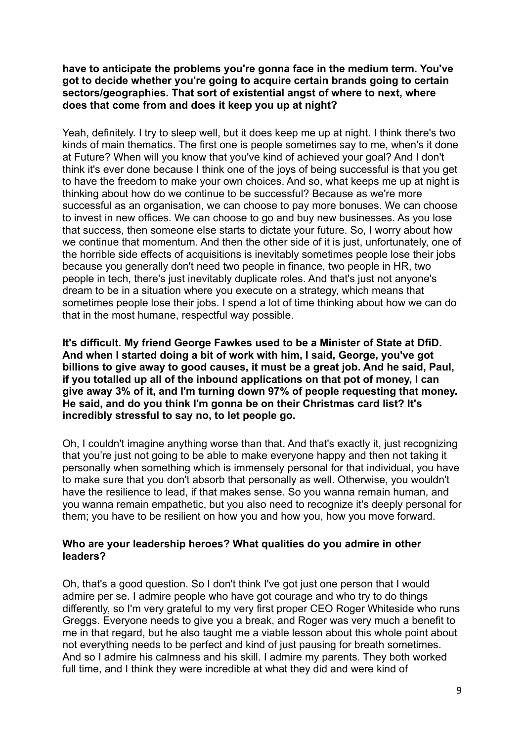## **have to anticipate the problems you're gonna face in the medium term. You've got to decide whether you're going to acquire certain brands going to certain sectors/geographies. That sort of existential angst of where to next, where does that come from and does it keep you up at night?**

Yeah, definitely. I try to sleep well, but it does keep me up at night. I think there's two kinds of main thematics. The first one is people sometimes say to me, when's it done at Future? When will you know that you've kind of achieved your goal? And I don't think it's ever done because I think one of the joys of being successful is that you get to have the freedom to make your own choices. And so, what keeps me up at night is thinking about how do we continue to be successful? Because as we're more successful as an organisation, we can choose to pay more bonuses. We can choose to invest in new offices. We can choose to go and buy new businesses. As you lose that success, then someone else starts to dictate your future. So, I worry about how we continue that momentum. And then the other side of it is just, unfortunately, one of the horrible side effects of acquisitions is inevitably sometimes people lose their jobs because you generally don't need two people in finance, two people in HR, two people in tech, there's just inevitably duplicate roles. And that's just not anyone's dream to be in a situation where you execute on a strategy, which means that sometimes people lose their jobs. I spend a lot of time thinking about how we can do that in the most humane, respectful way possible.

**It's difficult. My friend George Fawkes used to be a Minister of State at DfiD. And when I started doing a bit of work with him, I said, George, you've got billions to give away to good causes, it must be a great job. And he said, Paul, if you totalled up all of the inbound applications on that pot of money, I can give away 3% of it, and I'm turning down 97% of people requesting that money. He said, and do you think I'm gonna be on their Christmas card list? It's incredibly stressful to say no, to let people go.**

Oh, I couldn't imagine anything worse than that. And that's exactly it, just recognizing that you're just not going to be able to make everyone happy and then not taking it personally when something which is immensely personal for that individual, you have to make sure that you don't absorb that personally as well. Otherwise, you wouldn't have the resilience to lead, if that makes sense. So you wanna remain human, and you wanna remain empathetic, but you also need to recognize it's deeply personal for them; you have to be resilient on how you and how you, how you move forward.

## **Who are your leadership heroes? What qualities do you admire in other leaders?**

Oh, that's a good question. So I don't think I've got just one person that I would admire per se. I admire people who have got courage and who try to do things differently, so I'm very grateful to my very first proper CEO Roger Whiteside who runs Greggs. Everyone needs to give you a break, and Roger was very much a benefit to me in that regard, but he also taught me a viable lesson about this whole point about not everything needs to be perfect and kind of just pausing for breath sometimes. And so I admire his calmness and his skill. I admire my parents. They both worked full time, and I think they were incredible at what they did and were kind of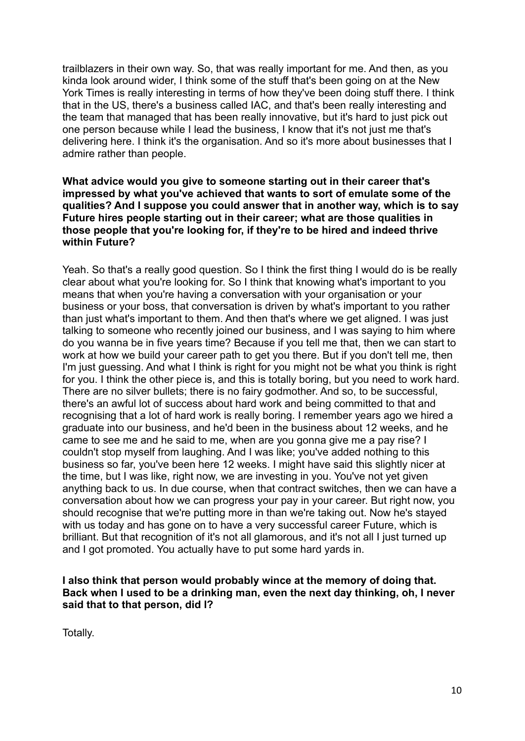trailblazers in their own way. So, that was really important for me. And then, as you kinda look around wider, I think some of the stuff that's been going on at the New York Times is really interesting in terms of how they've been doing stuff there. I think that in the US, there's a business called IAC, and that's been really interesting and the team that managed that has been really innovative, but it's hard to just pick out one person because while I lead the business, I know that it's not just me that's delivering here. I think it's the organisation. And so it's more about businesses that I admire rather than people.

## **What advice would you give to someone starting out in their career that's impressed by what you've achieved that wants to sort of emulate some of the qualities? And I suppose you could answer that in another way, which is to say Future hires people starting out in their career; what are those qualities in those people that you're looking for, if they're to be hired and indeed thrive within Future?**

Yeah. So that's a really good question. So I think the first thing I would do is be really clear about what you're looking for. So I think that knowing what's important to you means that when you're having a conversation with your organisation or your business or your boss, that conversation is driven by what's important to you rather than just what's important to them. And then that's where we get aligned. I was just talking to someone who recently joined our business, and I was saying to him where do you wanna be in five years time? Because if you tell me that, then we can start to work at how we build your career path to get you there. But if you don't tell me, then I'm just guessing. And what I think is right for you might not be what you think is right for you. I think the other piece is, and this is totally boring, but you need to work hard. There are no silver bullets; there is no fairy godmother. And so, to be successful, there's an awful lot of success about hard work and being committed to that and recognising that a lot of hard work is really boring. I remember years ago we hired a graduate into our business, and he'd been in the business about 12 weeks, and he came to see me and he said to me, when are you gonna give me a pay rise? I couldn't stop myself from laughing. And I was like; you've added nothing to this business so far, you've been here 12 weeks. I might have said this slightly nicer at the time, but I was like, right now, we are investing in you. You've not yet given anything back to us. In due course, when that contract switches, then we can have a conversation about how we can progress your pay in your career. But right now, you should recognise that we're putting more in than we're taking out. Now he's stayed with us today and has gone on to have a very successful career Future, which is brilliant. But that recognition of it's not all glamorous, and it's not all I just turned up and I got promoted. You actually have to put some hard yards in.

## **I also think that person would probably wince at the memory of doing that. Back when I used to be a drinking man, even the next day thinking, oh, I never said that to that person, did I?**

Totally.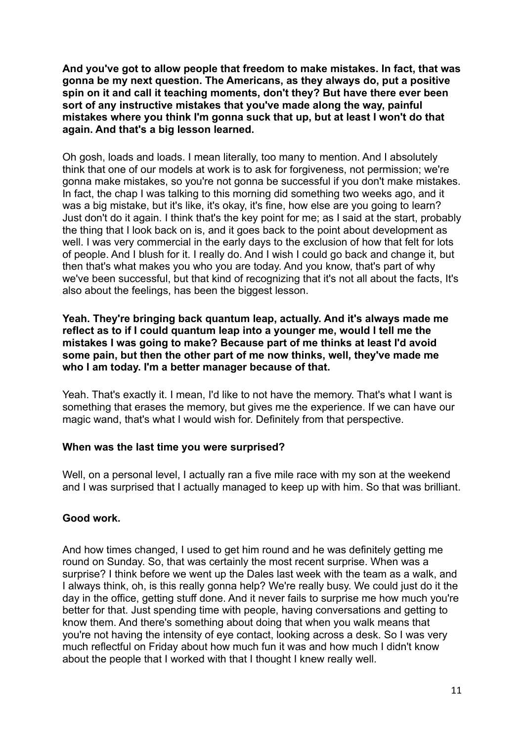**And you've got to allow people that freedom to make mistakes. In fact, that was gonna be my next question. The Americans, as they always do, put a positive spin on it and call it teaching moments, don't they? But have there ever been sort of any instructive mistakes that you've made along the way, painful mistakes where you think I'm gonna suck that up, but at least I won't do that again. And that's a big lesson learned.**

Oh gosh, loads and loads. I mean literally, too many to mention. And I absolutely think that one of our models at work is to ask for forgiveness, not permission; we're gonna make mistakes, so you're not gonna be successful if you don't make mistakes. In fact, the chap I was talking to this morning did something two weeks ago, and it was a big mistake, but it's like, it's okay, it's fine, how else are you going to learn? Just don't do it again. I think that's the key point for me; as I said at the start, probably the thing that I look back on is, and it goes back to the point about development as well. I was very commercial in the early days to the exclusion of how that felt for lots of people. And I blush for it. I really do. And I wish I could go back and change it, but then that's what makes you who you are today. And you know, that's part of why we've been successful, but that kind of recognizing that it's not all about the facts, It's also about the feelings, has been the biggest lesson.

## **Yeah. They're bringing back quantum leap, actually. And it's always made me reflect as to if I could quantum leap into a younger me, would I tell me the mistakes I was going to make? Because part of me thinks at least I'd avoid some pain, but then the other part of me now thinks, well, they've made me who I am today. I'm a better manager because of that.**

Yeah. That's exactly it. I mean, I'd like to not have the memory. That's what I want is something that erases the memory, but gives me the experience. If we can have our magic wand, that's what I would wish for. Definitely from that perspective.

# **When was the last time you were surprised?**

Well, on a personal level, I actually ran a five mile race with my son at the weekend and I was surprised that I actually managed to keep up with him. So that was brilliant.

# **Good work.**

And how times changed, I used to get him round and he was definitely getting me round on Sunday. So, that was certainly the most recent surprise. When was a surprise? I think before we went up the Dales last week with the team as a walk, and I always think, oh, is this really gonna help? We're really busy. We could just do it the day in the office, getting stuff done. And it never fails to surprise me how much you're better for that. Just spending time with people, having conversations and getting to know them. And there's something about doing that when you walk means that you're not having the intensity of eye contact, looking across a desk. So I was very much reflectful on Friday about how much fun it was and how much I didn't know about the people that I worked with that I thought I knew really well.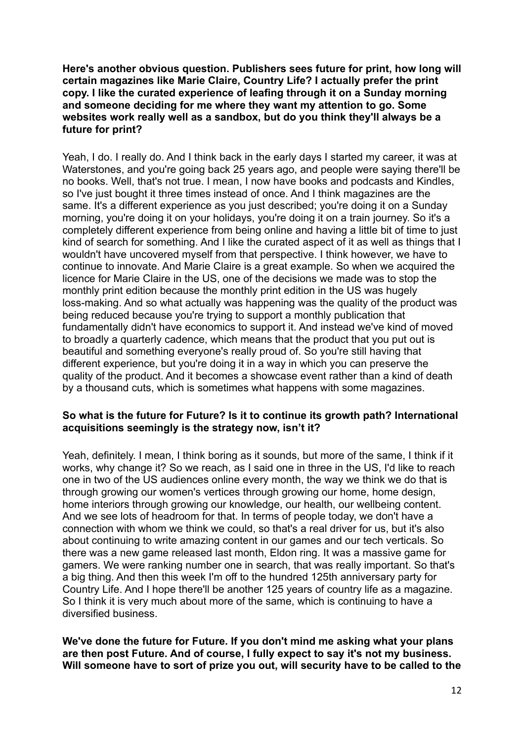**Here's another obvious question. Publishers sees future for print, how long will certain magazines like Marie Claire, Country Life? I actually prefer the print copy. I like the curated experience of leafing through it on a Sunday morning and someone deciding for me where they want my attention to go. Some websites work really well as a sandbox, but do you think they'll always be a future for print?**

Yeah, I do. I really do. And I think back in the early days I started my career, it was at Waterstones, and you're going back 25 years ago, and people were saying there'll be no books. Well, that's not true. I mean, I now have books and podcasts and Kindles, so I've just bought it three times instead of once. And I think magazines are the same. It's a different experience as you just described; you're doing it on a Sunday morning, you're doing it on your holidays, you're doing it on a train journey. So it's a completely different experience from being online and having a little bit of time to just kind of search for something. And I like the curated aspect of it as well as things that I wouldn't have uncovered myself from that perspective. I think however, we have to continue to innovate. And Marie Claire is a great example. So when we acquired the licence for Marie Claire in the US, one of the decisions we made was to stop the monthly print edition because the monthly print edition in the US was hugely loss-making. And so what actually was happening was the quality of the product was being reduced because you're trying to support a monthly publication that fundamentally didn't have economics to support it. And instead we've kind of moved to broadly a quarterly cadence, which means that the product that you put out is beautiful and something everyone's really proud of. So you're still having that different experience, but you're doing it in a way in which you can preserve the quality of the product. And it becomes a showcase event rather than a kind of death by a thousand cuts, which is sometimes what happens with some magazines.

#### **So what is the future for Future? Is it to continue its growth path? International acquisitions seemingly is the strategy now, isn't it?**

Yeah, definitely. I mean, I think boring as it sounds, but more of the same, I think if it works, why change it? So we reach, as I said one in three in the US, I'd like to reach one in two of the US audiences online every month, the way we think we do that is through growing our women's vertices through growing our home, home design, home interiors through growing our knowledge, our health, our wellbeing content. And we see lots of headroom for that. In terms of people today, we don't have a connection with whom we think we could, so that's a real driver for us, but it's also about continuing to write amazing content in our games and our tech verticals. So there was a new game released last month, Eldon ring. It was a massive game for gamers. We were ranking number one in search, that was really important. So that's a big thing. And then this week I'm off to the hundred 125th anniversary party for Country Life. And I hope there'll be another 125 years of country life as a magazine. So I think it is very much about more of the same, which is continuing to have a diversified business.

**We've done the future for Future. If you don't mind me asking what your plans are then post Future. And of course, I fully expect to say it's not my business. Will someone have to sort of prize you out, will security have to be called to the**